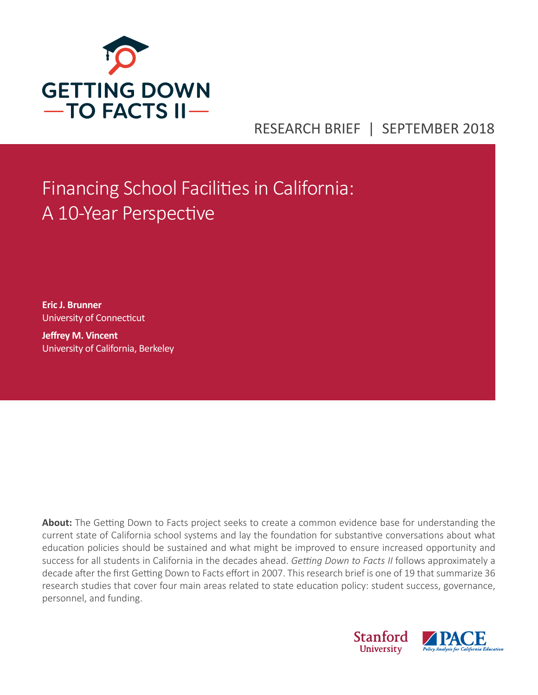

# RESEARCH BRIEF | SEPTEMBER 2018

# Financing School Facilities in California: A 10-Year Perspective

**Eric J. Brunner**  University of Connecticut

**Jeffrey M. Vincent** University of California, Berkeley

**About:** The Getting Down to Facts project seeks to create a common evidence base for understanding the current state of California school systems and lay the foundation for substantive conversations about what education policies should be sustained and what might be improved to ensure increased opportunity and success for all students in California in the decades ahead. *Getting Down to Facts II* follows approximately a decade after the first Getting Down to Facts effort in 2007. This research brief is one of 19 that summarize 36 research studies that cover four main areas related to state education policy: student success, governance, personnel, and funding.

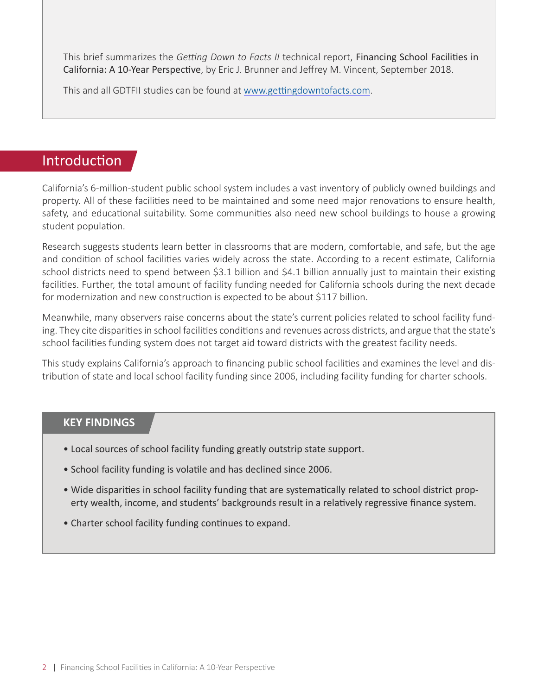This brief summarizes the *Getting Down to Facts II* technical report, Financing School Facilities in California: A 10-Year Perspective, by Eric J. Brunner and Jeffrey M. Vincent, September 2018.

This and all GDTFII studies can be found at [www.gettingdowntofacts.com.](http://www.gettingdowntofacts.com)

# Introduction

California's 6-million-student public school system includes a vast inventory of publicly owned buildings and property. All of these facilities need to be maintained and some need major renovations to ensure health, safety, and educational suitability. Some communities also need new school buildings to house a growing student population.

Research suggests students learn better in classrooms that are modern, comfortable, and safe, but the age and condition of school facilities varies widely across the state. According to a recent estimate, California school districts need to spend between \$3.1 billion and \$4.1 billion annually just to maintain their existing facilities. Further, the total amount of facility funding needed for California schools during the next decade for modernization and new construction is expected to be about \$117 billion.

Meanwhile, many observers raise concerns about the state's current policies related to school facility funding. They cite disparities in school facilities conditions and revenues across districts, and argue that the state's school facilities funding system does not target aid toward districts with the greatest facility needs.

This study explains California's approach to financing public school facilities and examines the level and distribution of state and local school facility funding since 2006, including facility funding for charter schools.

#### **KEY FINDINGS**

- Local sources of school facility funding greatly outstrip state support.
- School facility funding is volatile and has declined since 2006.
- Wide disparities in school facility funding that are systematically related to school district property wealth, income, and students' backgrounds result in a relatively regressive finance system.
- Charter school facility funding continues to expand.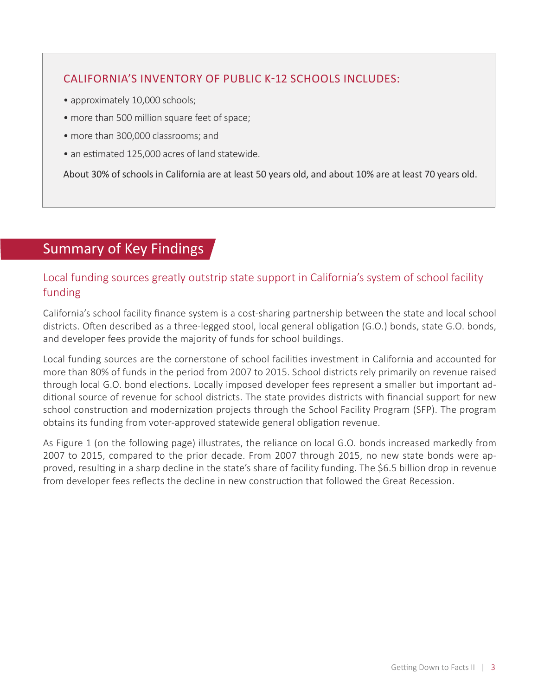# CALIFORNIA'S INVENTORY OF PUBLIC K-12 SCHOOLS INCLUDES:

- approximately 10,000 schools;
- more than 500 million square feet of space;
- more than 300,000 classrooms; and
- an estimated 125,000 acres of land statewide.

About 30% of schools in California are at least 50 years old, and about 10% are at least 70 years old.

# Summary of Key Findings

# Local funding sources greatly outstrip state support in California's system of school facility funding

California's school facility finance system is a cost-sharing partnership between the state and local school districts. Often described as a three-legged stool, local general obligation (G.O.) bonds, state G.O. bonds, and developer fees provide the majority of funds for school buildings.

Local funding sources are the cornerstone of school facilities investment in California and accounted for more than 80% of funds in the period from 2007 to 2015. School districts rely primarily on revenue raised through local G.O. bond elections. Locally imposed developer fees represent a smaller but important additional source of revenue for school districts. The state provides districts with financial support for new school construction and modernization projects through the School Facility Program (SFP). The program obtains its funding from voter-approved statewide general obligation revenue.

As Figure 1 (on the following page) illustrates, the reliance on local G.O. bonds increased markedly from 2007 to 2015, compared to the prior decade. From 2007 through 2015, no new state bonds were approved, resulting in a sharp decline in the state's share of facility funding. The \$6.5 billion drop in revenue from developer fees reflects the decline in new construction that followed the Great Recession.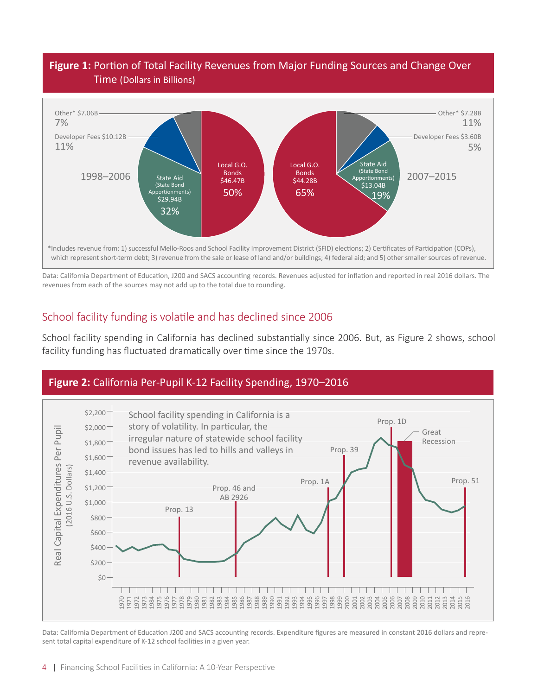## **Figure 1:** Portion of Total Facility Revenues from Major Funding Sources and Change Over Time (Dollars in Billions)



Data: California Department of Education, J200 and SACS accounting records. Revenues adjusted for inflation and reported in real 2016 dollars. The revenues from each of the sources may not add up to the total due to rounding.

## School facility funding is volatile and has declined since 2006

School facility spending in California has declined substantially since 2006. But, as Figure 2 shows, school facility funding has fluctuated dramatically over time since the 1970s.



Data: California Department of Education J200 and SACS accounting records. Expenditure figures are measured in constant 2016 dollars and represent total capital expenditure of K-12 school facilities in a given year.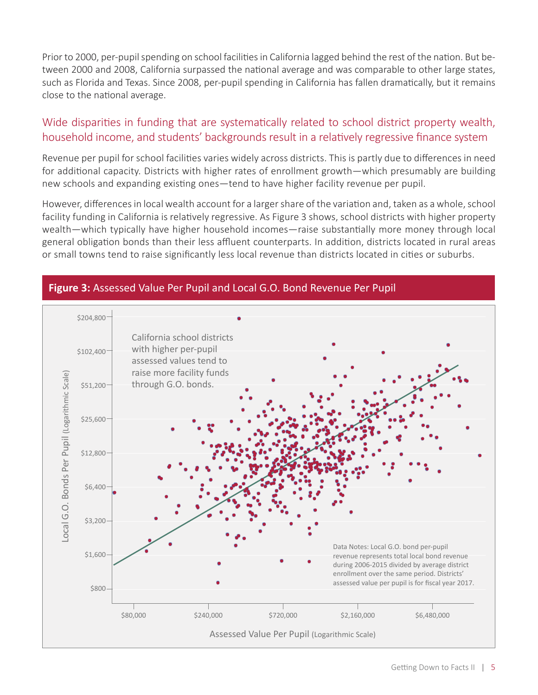Prior to 2000, per-pupil spending on school facilities in California lagged behind the rest of the nation. But between 2000 and 2008, California surpassed the national average and was comparable to other large states, such as Florida and Texas. Since 2008, per-pupil spending in California has fallen dramatically, but it remains close to the national average.

# Wide disparities in funding that are systematically related to school district property wealth, household income, and students' backgrounds result in a relatively regressive finance system

Revenue per pupil for school facilities varies widely across districts. This is partly due to differences in need for additional capacity. Districts with higher rates of enrollment growth—which presumably are building new schools and expanding existing ones—tend to have higher facility revenue per pupil.

However, differences in local wealth account for a larger share of the variation and, taken as a whole, school facility funding in California is relatively regressive. As Figure 3 shows, school districts with higher property wealth—which typically have higher household incomes—raise substantially more money through local general obligation bonds than their less affluent counterparts. In addition, districts located in rural areas or small towns tend to raise significantly less local revenue than districts located in cities or suburbs.



#### **Figure 3:** Assessed Value Per Pupil and Local G.O. Bond Revenue Per Pupil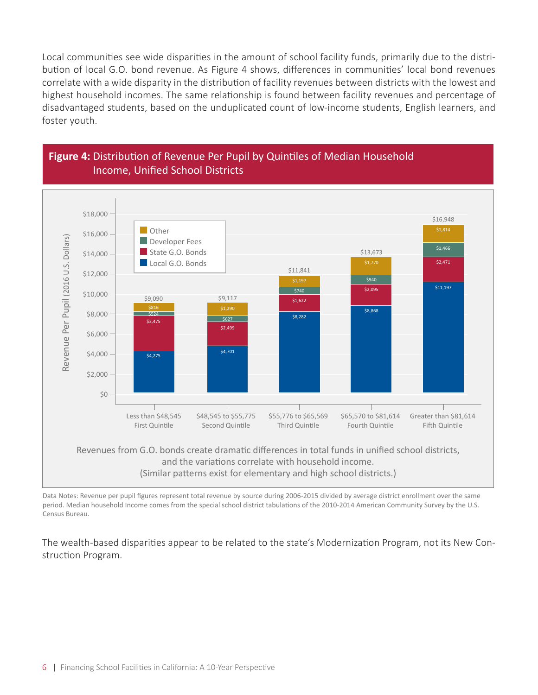Local communities see wide disparities in the amount of school facility funds, primarily due to the distribution of local G.O. bond revenue. As Figure 4 shows, differences in communities' local bond revenues correlate with a wide disparity in the distribution of facility revenues between districts with the lowest and highest household incomes. The same relationship is found between facility revenues and percentage of disadvantaged students, based on the unduplicated count of low-income students, English learners, and foster youth.





Data Notes: Revenue per pupil figures represent total revenue by source during 2006-2015 divided by average district enrollment over the same period. Median household Income comes from the special school district tabulations of the 2010-2014 American Community Survey by the U.S. Census Bureau.

The wealth-based disparities appear to be related to the state's Modernization Program, not its New Construction Program.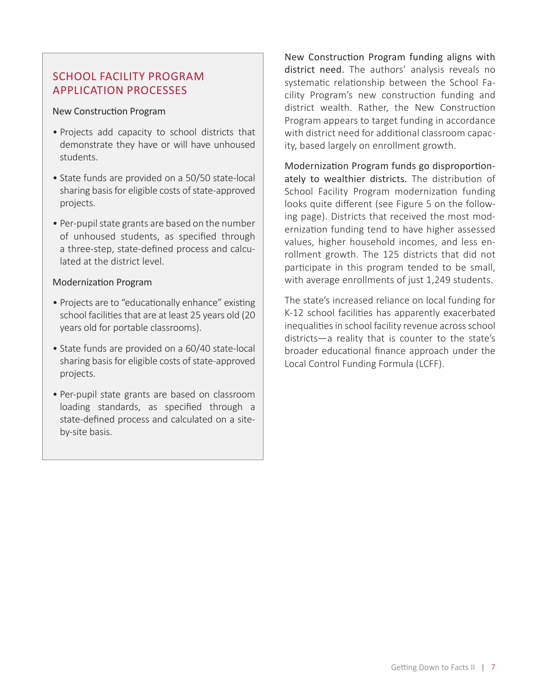#### SCHOOL FACILITY PROGRAM APPLICATION PROCESSES

#### New Construction Program

- Projects add capacity to school districts that demonstrate they have or will have unhoused students.
- State funds are provided on a 50/50 state-local sharing basis for eligible costs of state-approved projects.
- Per-pupil state grants are based on the number of unhoused students, as specified through a three-step, state-defined process and calculated at the district level.

#### Modernization Program

- Projects are to "educationally enhance" existing school facilities that are at least 25 years old (20 years old for portable classrooms).
- State funds are provided on a 60/40 state-local sharing basis for eligible costs of state-approved projects.
- Per-pupil state grants are based on classroom loading standards, as specified through a state-defined process and calculated on a siteby-site basis.

New Construction Program funding aligns with district need. The authors' analysis reveals no systematic relationship between the School Facility Program's new construction funding and district wealth. Rather, the New Construction Program appears to target funding in accordance with district need for additional classroom capacity, based largely on enrollment growth.

Modernization Program funds go disproportionately to wealthier districts. The distribution of School Facility Program modernization funding looks quite different (see Figure 5 on the following page). Districts that received the most modernization funding tend to have higher assessed values, higher household incomes, and less enrollment growth. The 125 districts that did not participate in this program tended to be small, with average enrollments of just 1,249 students.

The state's increased reliance on local funding for K-12 school facilities has apparently exacerbated inequalities in school facility revenue across school districts—a reality that is counter to the state's broader educational finance approach under the Local Control Funding Formula (LCFF).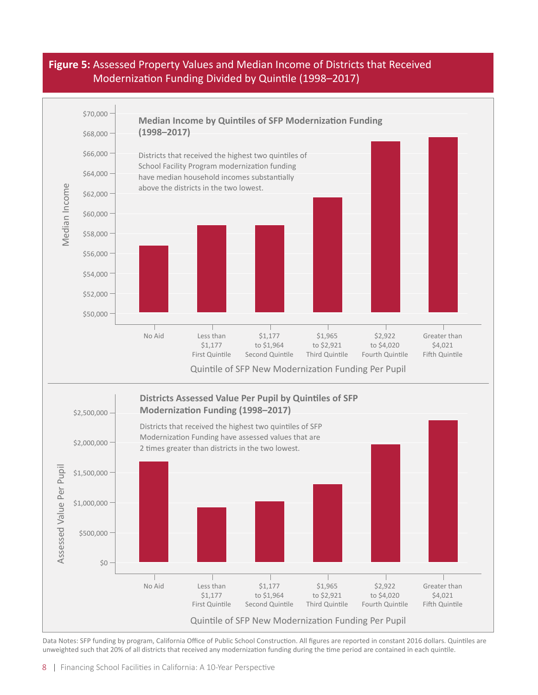#### **Figure 5:** Assessed Property Values and Median Income of Districts that Received Modernization Funding Divided by Quintile (1998–2017)



Data Notes: SFP funding by program, California Office of Public School Construction. All figures are reported in constant 2016 dollars. Quintiles are unweighted such that 20% of all districts that received any modernization funding during the time period are contained in each quintile.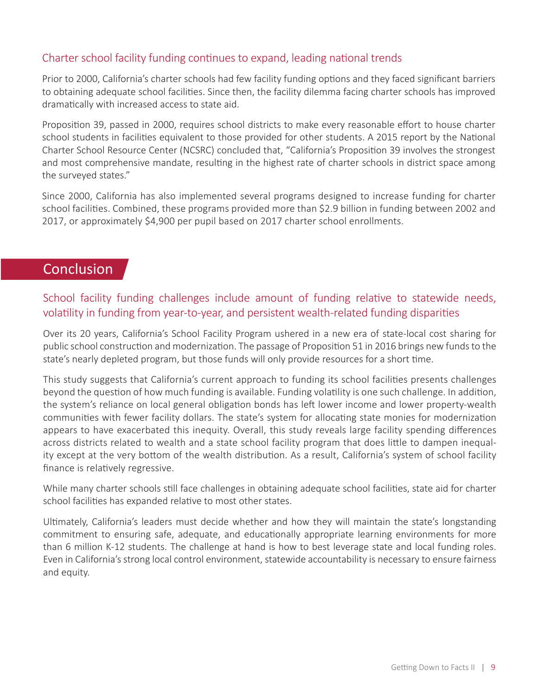# Charter school facility funding continues to expand, leading national trends

Prior to 2000, California's charter schools had few facility funding options and they faced significant barriers to obtaining adequate school facilities. Since then, the facility dilemma facing charter schools has improved dramatically with increased access to state aid.

Proposition 39, passed in 2000, requires school districts to make every reasonable effort to house charter school students in facilities equivalent to those provided for other students. A 2015 report by the National Charter School Resource Center (NCSRC) concluded that, "California's Proposition 39 involves the strongest and most comprehensive mandate, resulting in the highest rate of charter schools in district space among the surveyed states."

Since 2000, California has also implemented several programs designed to increase funding for charter school facilities. Combined, these programs provided more than \$2.9 billion in funding between 2002 and 2017, or approximately \$4,900 per pupil based on 2017 charter school enrollments.

# **Conclusion**

# School facility funding challenges include amount of funding relative to statewide needs, volatility in funding from year-to-year, and persistent wealth-related funding disparities

Over its 20 years, California's School Facility Program ushered in a new era of state-local cost sharing for public school construction and modernization. The passage of Proposition 51 in 2016 brings new funds to the state's nearly depleted program, but those funds will only provide resources for a short time.

This study suggests that California's current approach to funding its school facilities presents challenges beyond the question of how much funding is available. Funding volatility is one such challenge. In addition, the system's reliance on local general obligation bonds has left lower income and lower property-wealth communities with fewer facility dollars. The state's system for allocating state monies for modernization appears to have exacerbated this inequity. Overall, this study reveals large facility spending differences across districts related to wealth and a state school facility program that does little to dampen inequality except at the very bottom of the wealth distribution. As a result, California's system of school facility finance is relatively regressive.

While many charter schools still face challenges in obtaining adequate school facilities, state aid for charter school facilities has expanded relative to most other states.

Ultimately, California's leaders must decide whether and how they will maintain the state's longstanding commitment to ensuring safe, adequate, and educationally appropriate learning environments for more than 6 million K-12 students. The challenge at hand is how to best leverage state and local funding roles. Even in California's strong local control environment, statewide accountability is necessary to ensure fairness and equity.